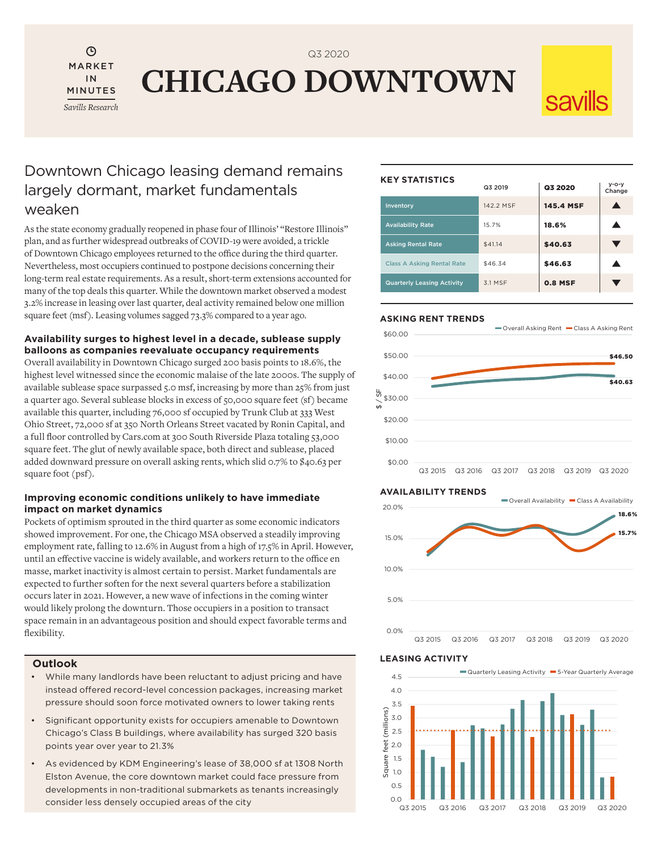$\odot$ MARKET IN MINUTES *Savills Research*

**CHICAGO DOWNTOWN**

Q3 2020

## Downtown Chicago leasing demand remains largely dormant, market fundamentals weaken

As the state economy gradually reopened in phase four of Illinois' "Restore Illinois" plan, and as further widespread outbreaks of COVID-19 were avoided, a trickle of Downtown Chicago employees returned to the office during the third quarter. Nevertheless, most occupiers continued to postpone decisions concerning their long-term real estate requirements. As a result, short-term extensions accounted for many of the top deals this quarter. While the downtown market observed a modest 3.2% increase in leasing over last quarter, deal activity remained below one million square feet (msf). Leasing volumes sagged 73.3% compared to a year ago.

#### **Availability surges to highest level in a decade, sublease supply balloons as companies reevaluate occupancy requirements**

Overall availability in Downtown Chicago surged 200 basis points to 18.6%, the highest level witnessed since the economic malaise of the late 2000s. The supply of available sublease space surpassed 5.0 msf, increasing by more than 25% from just a quarter ago. Several sublease blocks in excess of 50,000 square feet (sf) became available this quarter, including 76,000 sf occupied by Trunk Club at 333 West Ohio Street, 72,000 sf at 350 North Orleans Street vacated by Ronin Capital, and a full floor controlled by Cars.com at 300 South Riverside Plaza totaling 53,000 square feet. The glut of newly available space, both direct and sublease, placed added downward pressure on overall asking rents, which slid 0.7% to \$40.63 per square foot (psf).

### **Improving economic conditions unlikely to have immediate impact on market dynamics**

Pockets of optimism sprouted in the third quarter as some economic indicators showed improvement. For one, the Chicago MSA observed a steadily improving employment rate, falling to 12.6% in August from a high of 17.5% in April. However, until an effective vaccine is widely available, and workers return to the office en masse, market inactivity is almost certain to persist. Market fundamentals are expected to further soften for the next several quarters before a stabilization occurs later in 2021. However, a new wave of infections in the coming winter would likely prolong the downturn. Those occupiers in a position to transact space remain in an advantageous position and should expect favorable terms and flexibility.

### **Outlook**

- While many landlords have been reluctant to adjust pricing and have instead offered record-level concession packages, increasing market pressure should soon force motivated owners to lower taking rents
- Significant opportunity exists for occupiers amenable to Downtown Chicago's Class B buildings, where availability has surged 320 basis points year over year to 21.3%
- As evidenced by KDM Engineering's lease of 38,000 sf at 1308 North Elston Avenue, the core downtown market could face pressure from developments in non-traditional submarkets as tenants increasingly consider less densely occupied areas of the city

#### **KEY STATISTICS**

|  |                                   | Q3 2019   | Q3 2020        | $y - o - y$<br>Change |
|--|-----------------------------------|-----------|----------------|-----------------------|
|  | Inventory                         | 142.2 MSF | 145.4 MSF      |                       |
|  | <b>Availability Rate</b>          | 15.7%     | 18.6%          |                       |
|  | <b>Asking Rental Rate</b>         | \$41.14   | \$40.63        |                       |
|  | <b>Class A Asking Rental Rate</b> | \$46.34   | \$46.63        |                       |
|  | <b>Quarterly Leasing Activity</b> | 3.1 MSF   | <b>0.8 MSF</b> |                       |

#### **ASKING RENT TRENDS**







#### **LEASING ACTIVITY**